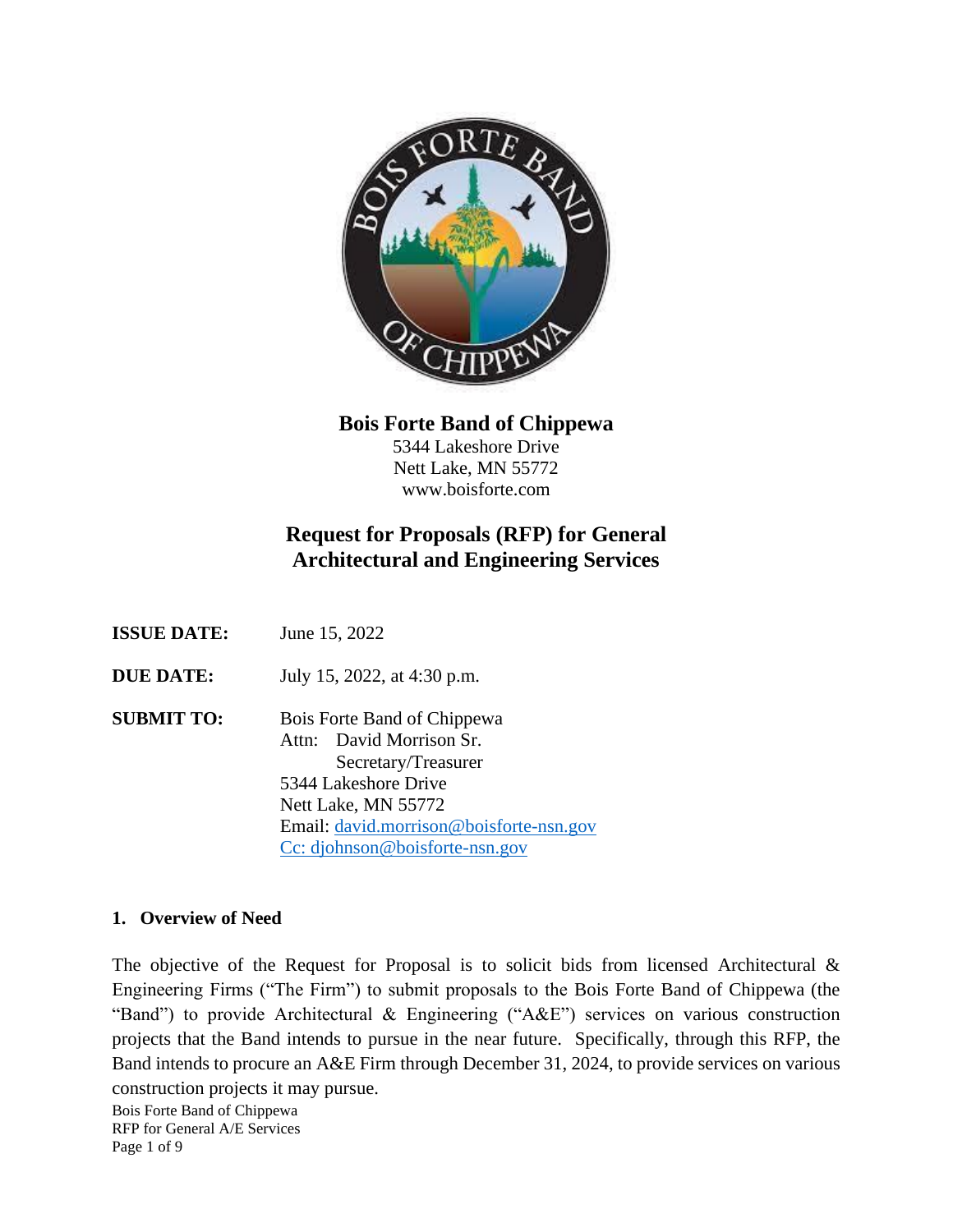

**Bois Forte Band of Chippewa**

5344 Lakeshore Drive Nett Lake, MN 55772 www.boisforte.com

# **Request for Proposals (RFP) for General Architectural and Engineering Services**

| <b>ISSUE DATE:</b> | June 15, 2022 |
|--------------------|---------------|
|--------------------|---------------|

**DUE DATE:** July 15, 2022, at 4:30 p.m.

**SUBMIT TO:** Bois Forte Band of Chippewa Attn: David Morrison Sr. Secretary/Treasurer 5344 Lakeshore Drive Nett Lake, MN 55772 Email: [david.morrison@boisforte-nsn.gov](mailto:david.morrison@boisforte-nsn.gov) Cc: djohnson@boisforte-nsn.gov

### **1. Overview of Need**

The objective of the Request for Proposal is to solicit bids from licensed Architectural  $\&$ Engineering Firms ("The Firm") to submit proposals to the Bois Forte Band of Chippewa (the "Band") to provide Architectural & Engineering ("A&E") services on various construction projects that the Band intends to pursue in the near future. Specifically, through this RFP, the Band intends to procure an A&E Firm through December 31, 2024, to provide services on various construction projects it may pursue.

Bois Forte Band of Chippewa RFP for General A/E Services Page 1 of 9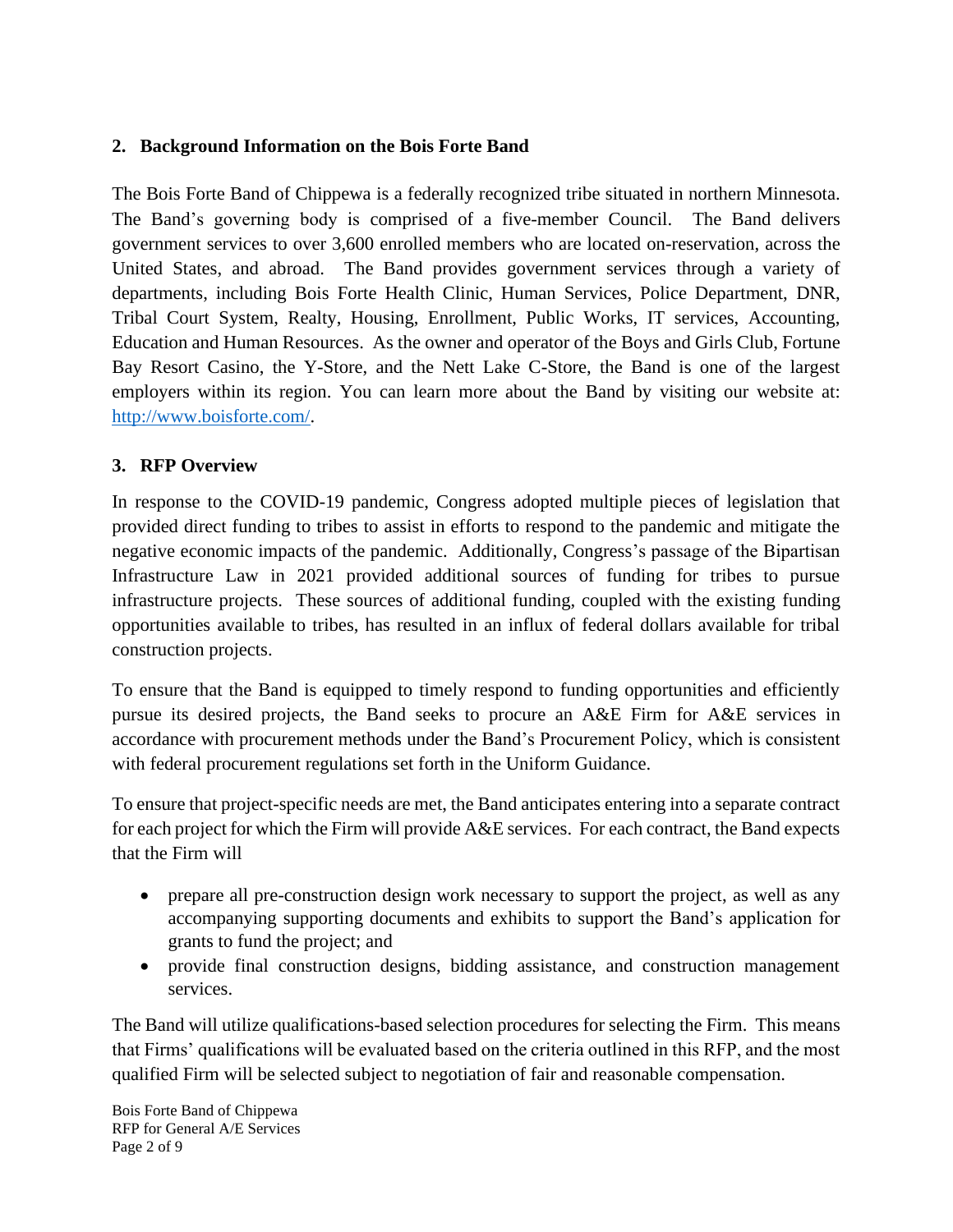## **2. Background Information on the Bois Forte Band**

The Bois Forte Band of Chippewa is a federally recognized tribe situated in northern Minnesota. The Band's governing body is comprised of a five-member Council. The Band delivers government services to over 3,600 enrolled members who are located on-reservation, across the United States, and abroad. The Band provides government services through a variety of departments, including Bois Forte Health Clinic, Human Services, Police Department, DNR, Tribal Court System, Realty, Housing, Enrollment, Public Works, IT services, Accounting, Education and Human Resources. As the owner and operator of the Boys and Girls Club, Fortune Bay Resort Casino, the Y-Store, and the Nett Lake C-Store, the Band is one of the largest employers within its region. You can learn more about the Band by visiting our website at: [http://www.boisforte.com/.](http://www.boisforte.com/)

## **3. RFP Overview**

In response to the COVID-19 pandemic, Congress adopted multiple pieces of legislation that provided direct funding to tribes to assist in efforts to respond to the pandemic and mitigate the negative economic impacts of the pandemic. Additionally, Congress's passage of the Bipartisan Infrastructure Law in 2021 provided additional sources of funding for tribes to pursue infrastructure projects. These sources of additional funding, coupled with the existing funding opportunities available to tribes, has resulted in an influx of federal dollars available for tribal construction projects.

To ensure that the Band is equipped to timely respond to funding opportunities and efficiently pursue its desired projects, the Band seeks to procure an A&E Firm for A&E services in accordance with procurement methods under the Band's Procurement Policy, which is consistent with federal procurement regulations set forth in the Uniform Guidance.

To ensure that project-specific needs are met, the Band anticipates entering into a separate contract for each project for which the Firm will provide A&E services. For each contract, the Band expects that the Firm will

- prepare all pre-construction design work necessary to support the project, as well as any accompanying supporting documents and exhibits to support the Band's application for grants to fund the project; and
- provide final construction designs, bidding assistance, and construction management services.

The Band will utilize qualifications-based selection procedures for selecting the Firm. This means that Firms' qualifications will be evaluated based on the criteria outlined in this RFP, and the most qualified Firm will be selected subject to negotiation of fair and reasonable compensation.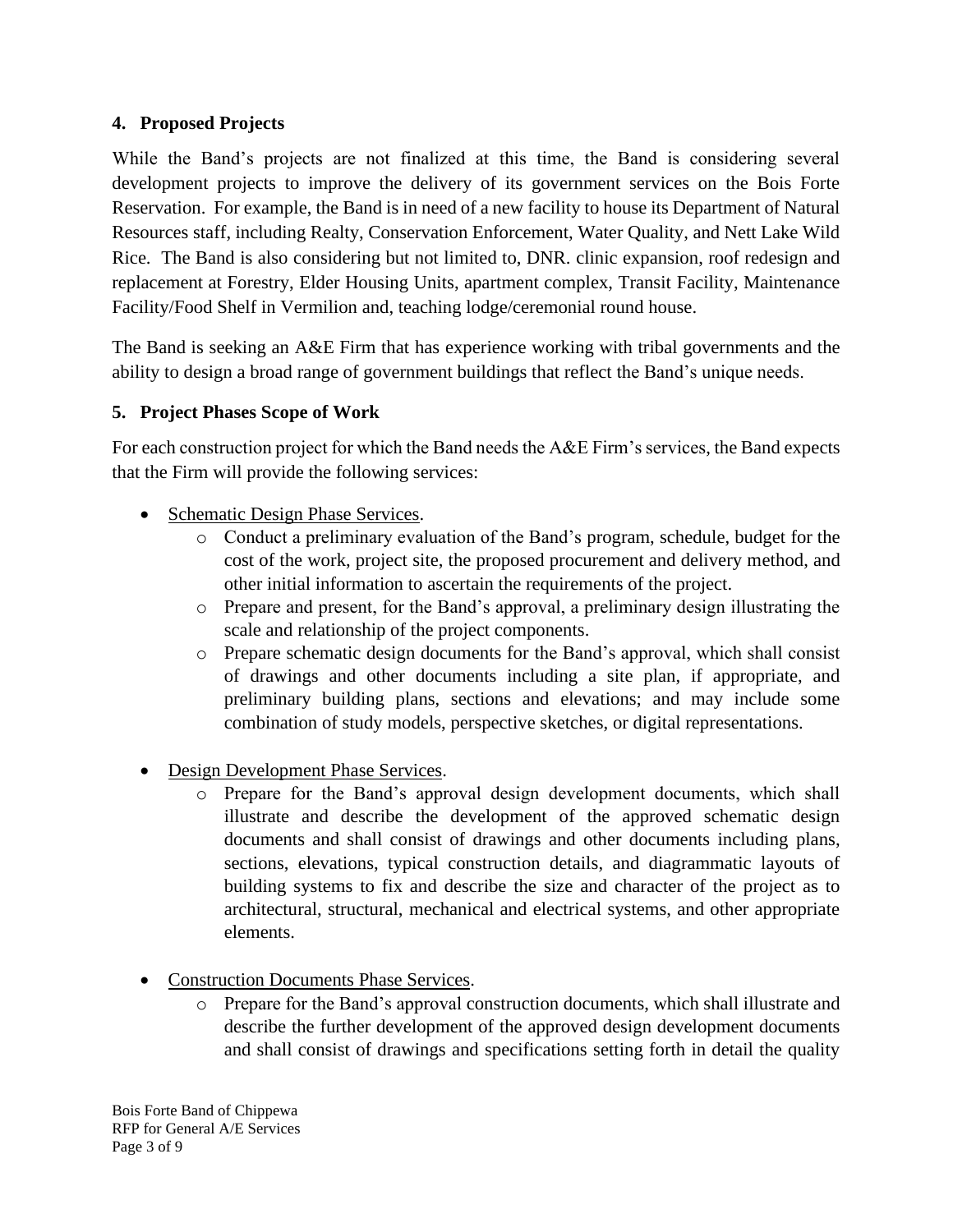## **4. Proposed Projects**

While the Band's projects are not finalized at this time, the Band is considering several development projects to improve the delivery of its government services on the Bois Forte Reservation. For example, the Band is in need of a new facility to house its Department of Natural Resources staff, including Realty, Conservation Enforcement, Water Quality, and Nett Lake Wild Rice. The Band is also considering but not limited to, DNR. clinic expansion, roof redesign and replacement at Forestry, Elder Housing Units, apartment complex, Transit Facility, Maintenance Facility/Food Shelf in Vermilion and, teaching lodge/ceremonial round house.

The Band is seeking an A&E Firm that has experience working with tribal governments and the ability to design a broad range of government buildings that reflect the Band's unique needs.

## **5. Project Phases Scope of Work**

For each construction project for which the Band needs the A&E Firm's services, the Band expects that the Firm will provide the following services:

- Schematic Design Phase Services.
	- o Conduct a preliminary evaluation of the Band's program, schedule, budget for the cost of the work, project site, the proposed procurement and delivery method, and other initial information to ascertain the requirements of the project.
	- o Prepare and present, for the Band's approval, a preliminary design illustrating the scale and relationship of the project components.
	- o Prepare schematic design documents for the Band's approval, which shall consist of drawings and other documents including a site plan, if appropriate, and preliminary building plans, sections and elevations; and may include some combination of study models, perspective sketches, or digital representations.
- Design Development Phase Services.
	- o Prepare for the Band's approval design development documents, which shall illustrate and describe the development of the approved schematic design documents and shall consist of drawings and other documents including plans, sections, elevations, typical construction details, and diagrammatic layouts of building systems to fix and describe the size and character of the project as to architectural, structural, mechanical and electrical systems, and other appropriate elements.
- Construction Documents Phase Services.
	- o Prepare for the Band's approval construction documents, which shall illustrate and describe the further development of the approved design development documents and shall consist of drawings and specifications setting forth in detail the quality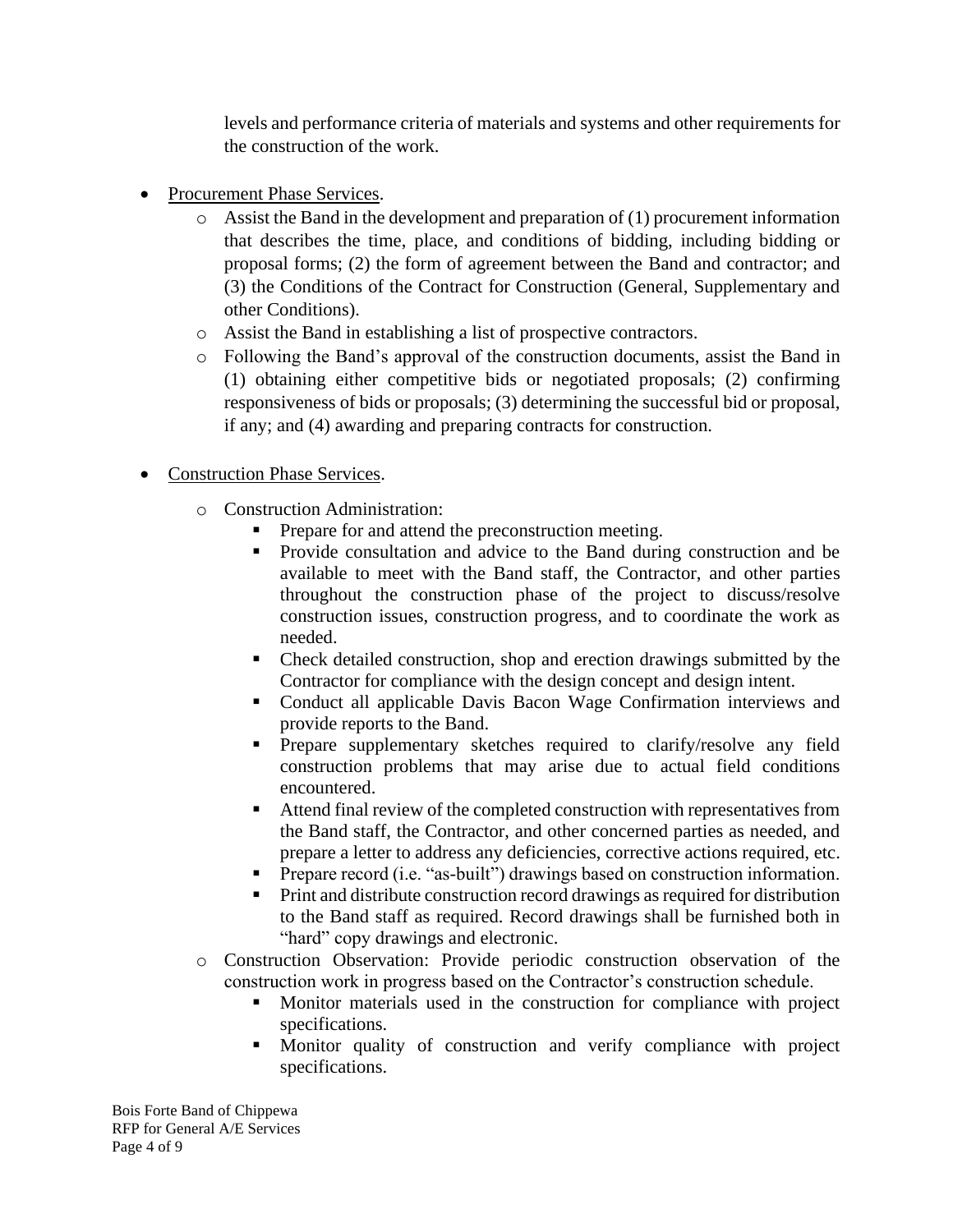levels and performance criteria of materials and systems and other requirements for the construction of the work.

- Procurement Phase Services.
	- o Assist the Band in the development and preparation of (1) procurement information that describes the time, place, and conditions of bidding, including bidding or proposal forms; (2) the form of agreement between the Band and contractor; and (3) the Conditions of the Contract for Construction (General, Supplementary and other Conditions).
	- o Assist the Band in establishing a list of prospective contractors.
	- o Following the Band's approval of the construction documents, assist the Band in (1) obtaining either competitive bids or negotiated proposals; (2) confirming responsiveness of bids or proposals; (3) determining the successful bid or proposal, if any; and (4) awarding and preparing contracts for construction.
- Construction Phase Services.
	- o Construction Administration:
		- Prepare for and attend the preconstruction meeting.
		- Provide consultation and advice to the Band during construction and be available to meet with the Band staff, the Contractor, and other parties throughout the construction phase of the project to discuss/resolve construction issues, construction progress, and to coordinate the work as needed.
		- Check detailed construction, shop and erection drawings submitted by the Contractor for compliance with the design concept and design intent.
		- Conduct all applicable Davis Bacon Wage Confirmation interviews and provide reports to the Band.
		- **•** Prepare supplementary sketches required to clarify/resolve any field construction problems that may arise due to actual field conditions encountered.
		- Attend final review of the completed construction with representatives from the Band staff, the Contractor, and other concerned parties as needed, and prepare a letter to address any deficiencies, corrective actions required, etc.
		- **•** Prepare record (i.e. "as-built") drawings based on construction information.
		- **•** Print and distribute construction record drawings as required for distribution to the Band staff as required. Record drawings shall be furnished both in "hard" copy drawings and electronic.
	- o Construction Observation: Provide periodic construction observation of the construction work in progress based on the Contractor's construction schedule.
		- Monitor materials used in the construction for compliance with project specifications.
		- Monitor quality of construction and verify compliance with project specifications.

Bois Forte Band of Chippewa RFP for General A/E Services Page 4 of 9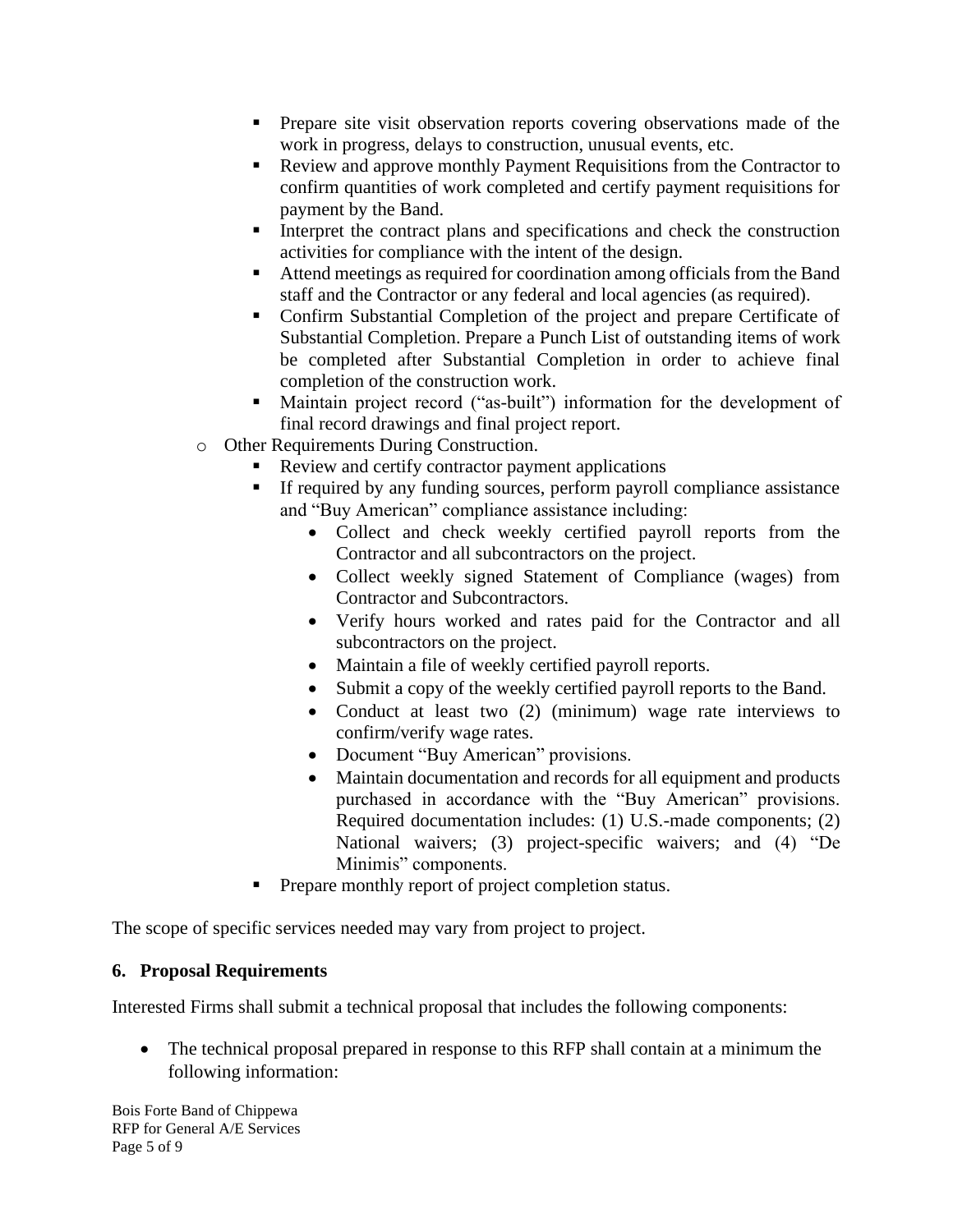- **•** Prepare site visit observation reports covering observations made of the work in progress, delays to construction, unusual events, etc.
- Review and approve monthly Payment Requisitions from the Contractor to confirm quantities of work completed and certify payment requisitions for payment by the Band.
- **I** Interpret the contract plans and specifications and check the construction activities for compliance with the intent of the design.
- Attend meetings as required for coordination among officials from the Band staff and the Contractor or any federal and local agencies (as required).
- Confirm Substantial Completion of the project and prepare Certificate of Substantial Completion. Prepare a Punch List of outstanding items of work be completed after Substantial Completion in order to achieve final completion of the construction work.
- Maintain project record ("as-built") information for the development of final record drawings and final project report.
- o Other Requirements During Construction.
	- **EXECUTE:** Review and certify contractor payment applications
	- If required by any funding sources, perform payroll compliance assistance and "Buy American" compliance assistance including:
		- Collect and check weekly certified payroll reports from the Contractor and all subcontractors on the project.
		- Collect weekly signed Statement of Compliance (wages) from Contractor and Subcontractors.
		- Verify hours worked and rates paid for the Contractor and all subcontractors on the project.
		- Maintain a file of weekly certified payroll reports.
		- Submit a copy of the weekly certified payroll reports to the Band.
		- Conduct at least two (2) (minimum) wage rate interviews to confirm/verify wage rates.
		- Document "Buy American" provisions.
		- Maintain documentation and records for all equipment and products purchased in accordance with the "Buy American" provisions. Required documentation includes: (1) U.S.-made components; (2) National waivers; (3) project-specific waivers; and (4) "De Minimis" components.
	- Prepare monthly report of project completion status.

The scope of specific services needed may vary from project to project.

# **6. Proposal Requirements**

Interested Firms shall submit a technical proposal that includes the following components:

• The technical proposal prepared in response to this RFP shall contain at a minimum the following information:

Bois Forte Band of Chippewa RFP for General A/E Services Page 5 of 9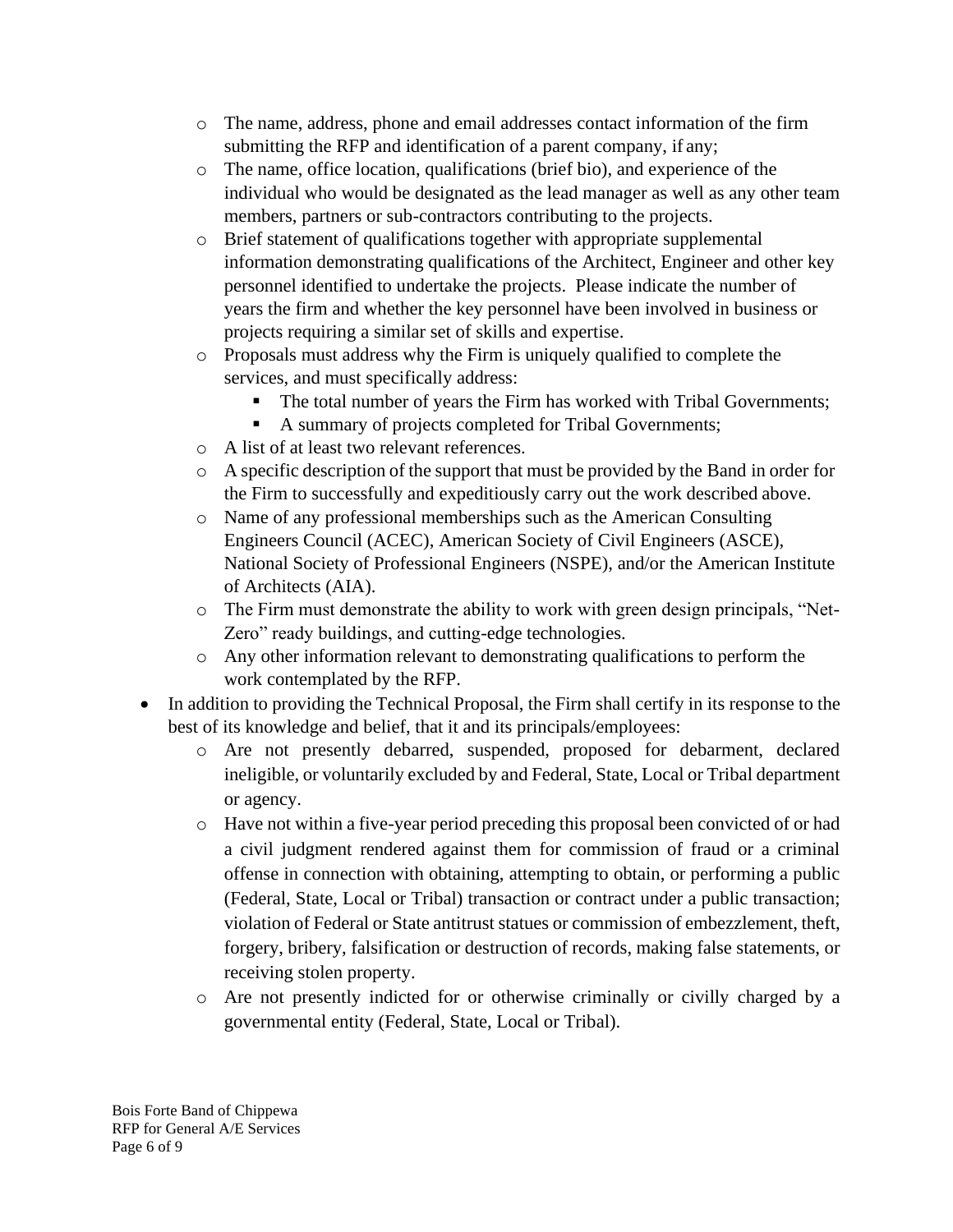- o The name, address, phone and email addresses contact information of the firm submitting the RFP and identification of a parent company, if any;
- o The name, office location, qualifications (brief bio), and experience of the individual who would be designated as the lead manager as well as any other team members, partners or sub-contractors contributing to the projects.
- o Brief statement of qualifications together with appropriate supplemental information demonstrating qualifications of the Architect, Engineer and other key personnel identified to undertake the projects. Please indicate the number of years the firm and whether the key personnel have been involved in business or projects requiring a similar set of skills and expertise.
- o Proposals must address why the Firm is uniquely qualified to complete the services, and must specifically address:
	- The total number of years the Firm has worked with Tribal Governments;
	- A summary of projects completed for Tribal Governments;
- o A list of at least two relevant references.
- o A specific description of the support that must be provided by the Band in order for the Firm to successfully and expeditiously carry out the work described above.
- o Name of any professional memberships such as the American Consulting Engineers Council (ACEC), American Society of Civil Engineers (ASCE), National Society of Professional Engineers (NSPE), and/or the American Institute of Architects (AIA).
- o The Firm must demonstrate the ability to work with green design principals, "Net-Zero" ready buildings, and cutting-edge technologies.
- o Any other information relevant to demonstrating qualifications to perform the work contemplated by the RFP.
- In addition to providing the Technical Proposal, the Firm shall certify in its response to the best of its knowledge and belief, that it and its principals/employees:
	- o Are not presently debarred, suspended, proposed for debarment, declared ineligible, or voluntarily excluded by and Federal, State, Local or Tribal department or agency.
	- o Have not within a five-year period preceding this proposal been convicted of or had a civil judgment rendered against them for commission of fraud or a criminal offense in connection with obtaining, attempting to obtain, or performing a public (Federal, State, Local or Tribal) transaction or contract under a public transaction; violation of Federal or State antitrust statues or commission of embezzlement, theft, forgery, bribery, falsification or destruction of records, making false statements, or receiving stolen property.
	- o Are not presently indicted for or otherwise criminally or civilly charged by a governmental entity (Federal, State, Local or Tribal).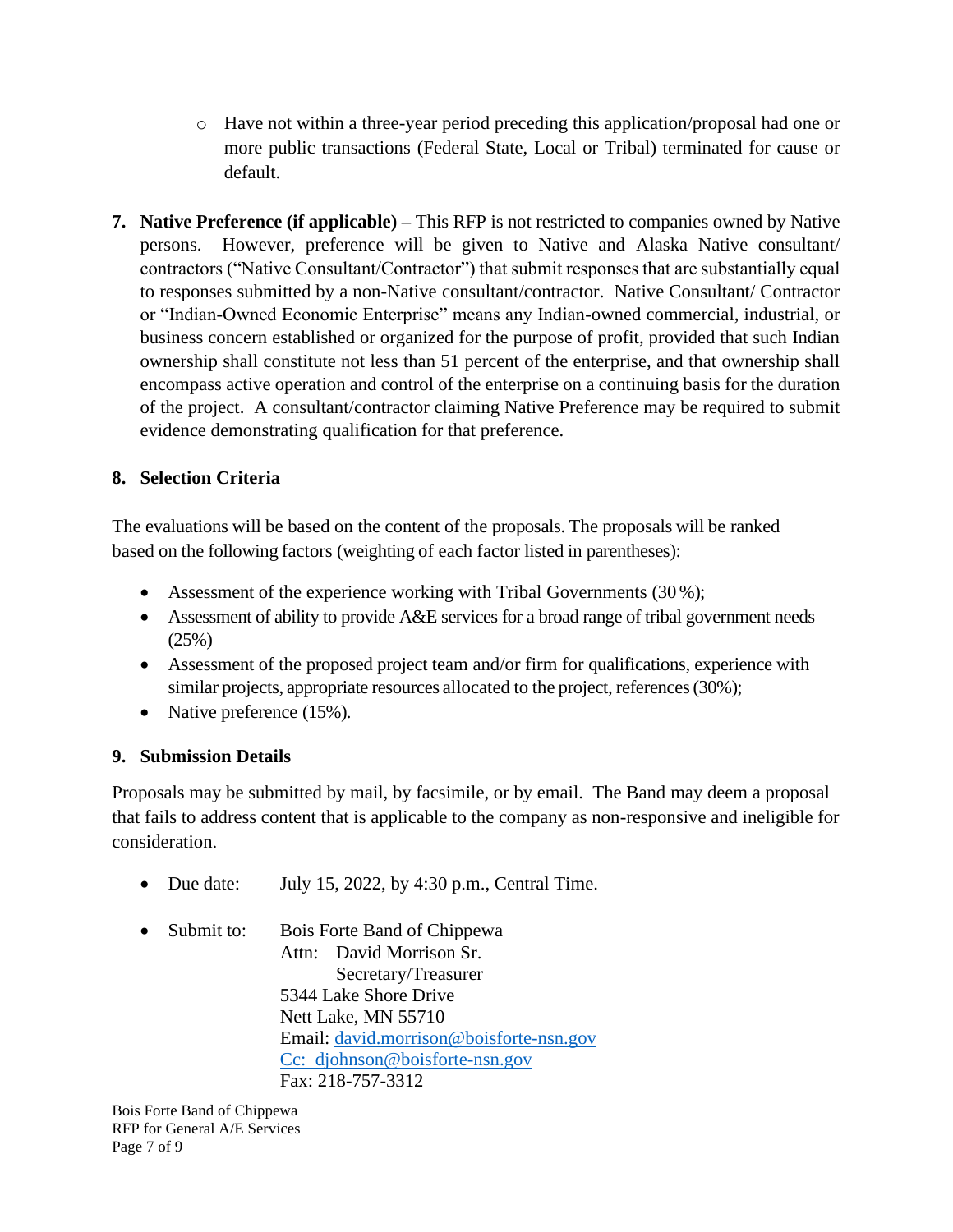- o Have not within a three-year period preceding this application/proposal had one or more public transactions (Federal State, Local or Tribal) terminated for cause or default.
- **7. Native Preference (if applicable) –** This RFP is not restricted to companies owned by Native persons. However, preference will be given to Native and Alaska Native consultant/ contractors ("Native Consultant/Contractor") that submit responses that are substantially equal to responses submitted by a non-Native consultant/contractor. Native Consultant/ Contractor or "Indian-Owned Economic Enterprise" means any Indian-owned commercial, industrial, or business concern established or organized for the purpose of profit, provided that such Indian ownership shall constitute not less than 51 percent of the enterprise, and that ownership shall encompass active operation and control of the enterprise on a continuing basis for the duration of the project. A consultant/contractor claiming Native Preference may be required to submit evidence demonstrating qualification for that preference.

## **8. Selection Criteria**

The evaluations will be based on the content of the proposals. The proposals will be ranked based on the following factors (weighting of each factor listed in parentheses):

- Assessment of the experience working with Tribal Governments (30%);
- Assessment of ability to provide A&E services for a broad range of tribal government needs (25%)
- Assessment of the proposed project team and/or firm for qualifications, experience with similar projects, appropriate resources allocated to the project, references (30%);
- Native preference (15%).

### **9. Submission Details**

Proposals may be submitted by mail, by facsimile, or by email. The Band may deem a proposal that fails to address content that is applicable to the company as non-responsive and ineligible for consideration.

- Due date: July 15, 2022, by  $4:30$  p.m., Central Time.
- Submit to: Bois Forte Band of Chippewa Attn: David Morrison Sr. Secretary/Treasurer 5344 Lake Shore Drive Nett Lake, MN 55710 Email: [david.morrison@boisforte-nsn.gov](mailto:david.morrison@boisforte-nsn.gov) Cc: djohnson@boisforte-nsn.gov Fax: 218-757-3312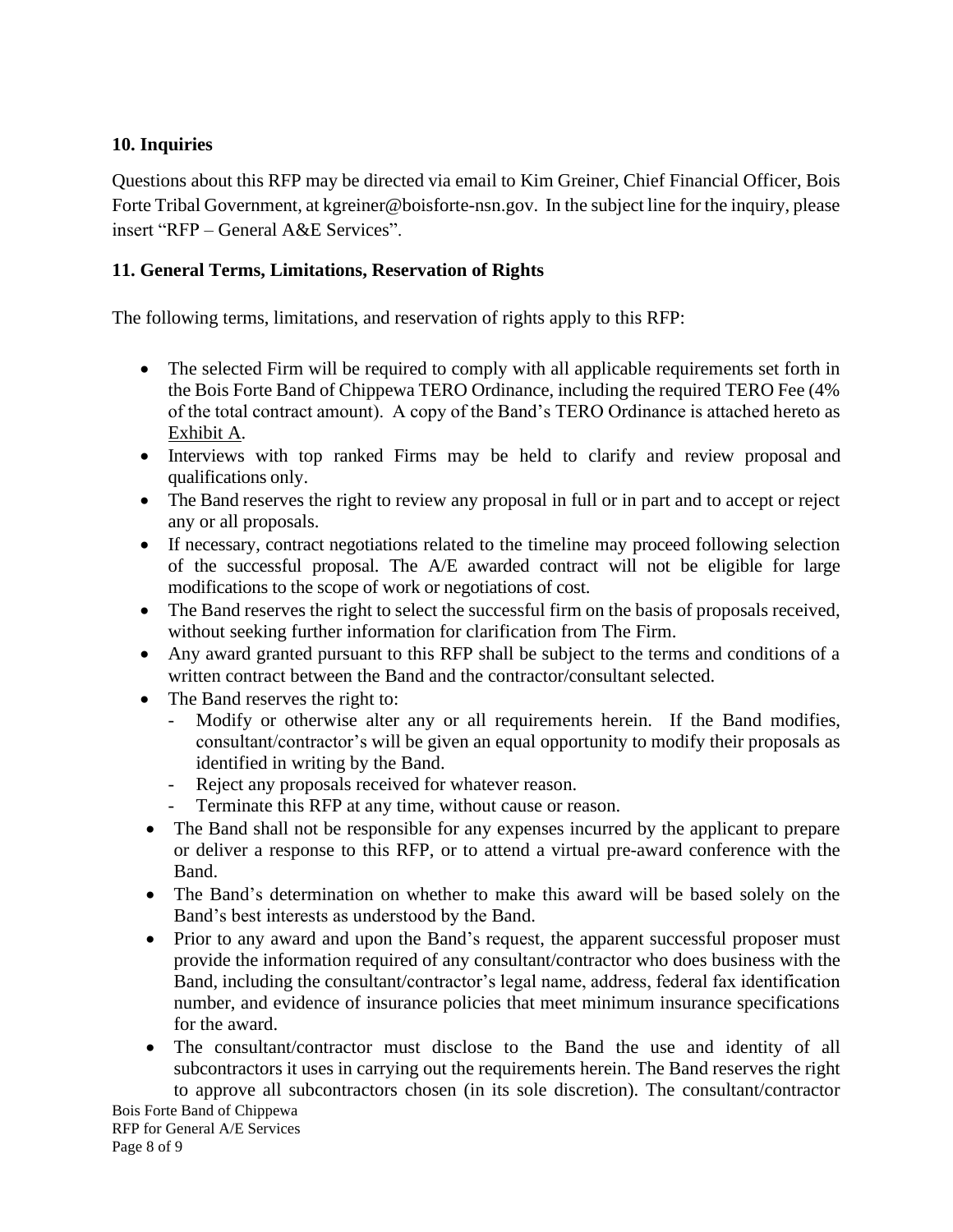### **10. Inquiries**

Questions about this RFP may be directed via email to Kim Greiner, Chief Financial Officer, Bois Forte Tribal Government, at kgreiner@boisforte-nsn.gov. In the subject line for the inquiry, please insert "RFP – General A&E Services".

### **11. General Terms, Limitations, Reservation of Rights**

The following terms, limitations, and reservation of rights apply to this RFP:

- The selected Firm will be required to comply with all applicable requirements set forth in the Bois Forte Band of Chippewa TERO Ordinance, including the required TERO Fee (4% of the total contract amount). A copy of the Band's TERO Ordinance is attached hereto as Exhibit A.
- Interviews with top ranked Firms may be held to clarify and review proposal and qualifications only.
- The Band reserves the right to review any proposal in full or in part and to accept or reject any or all proposals.
- If necessary, contract negotiations related to the timeline may proceed following selection of the successful proposal. The A/E awarded contract will not be eligible for large modifications to the scope of work or negotiations of cost.
- The Band reserves the right to select the successful firm on the basis of proposals received, without seeking further information for clarification from The Firm.
- Any award granted pursuant to this RFP shall be subject to the terms and conditions of a written contract between the Band and the contractor/consultant selected.
- The Band reserves the right to:
	- Modify or otherwise alter any or all requirements herein. If the Band modifies, consultant/contractor's will be given an equal opportunity to modify their proposals as identified in writing by the Band.
	- Reject any proposals received for whatever reason.
	- Terminate this RFP at any time, without cause or reason.
- The Band shall not be responsible for any expenses incurred by the applicant to prepare or deliver a response to this RFP, or to attend a virtual pre-award conference with the Band.
- The Band's determination on whether to make this award will be based solely on the Band's best interests as understood by the Band.
- Prior to any award and upon the Band's request, the apparent successful proposer must provide the information required of any consultant/contractor who does business with the Band, including the consultant/contractor's legal name, address, federal fax identification number, and evidence of insurance policies that meet minimum insurance specifications for the award.
- The consultant/contractor must disclose to the Band the use and identity of all subcontractors it uses in carrying out the requirements herein. The Band reserves the right to approve all subcontractors chosen (in its sole discretion). The consultant/contractor